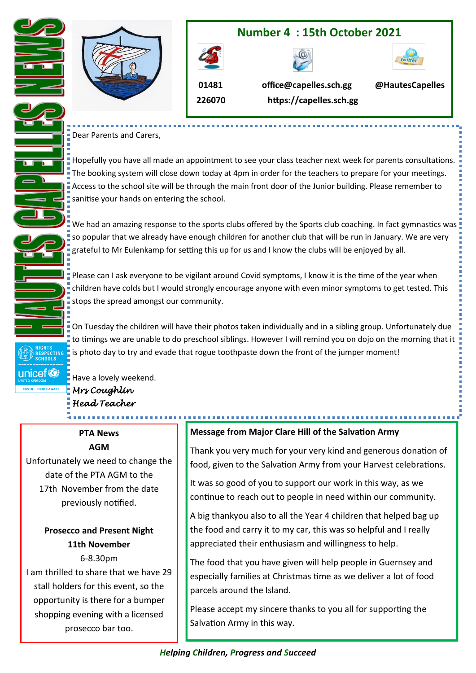

# Dear Parents and Carers,

Hopefully you have all made an appointment to see your class teacher next week for parents consultations. The booking system will close down today at 4pm in order for the teachers to prepare for your meetings. Access to the school site will be through the main front door of the Junior building. Please remember to sanitise your hands on entering the school.

We had an amazing response to the sports clubs offered by the Sports club coaching. In fact gymnastics was ! so popular that we already have enough children for another club that will be run in January. We are very grateful to Mr Eulenkamp for setting this up for us and I know the clubs will be enjoyed by all.

Please can I ask everyone to be vigilant around Covid symptoms, I know it is the time of the year when children have colds but I would strongly encourage anyone with even minor symptoms to get tested. This stops the spread amongst our community.

On Tuesday the children will have their photos taken individually and in a sibling group. Unfortunately due to timings we are unable to do preschool siblings. However I will remind you on dojo on the morning that it  $\overline{\phantom{a}}$  is photo day to try and evade that rogue toothpaste down the front of the jumper moment!

Have a lovely weekend. *Mrs Coughlin Head Teacher* 

# **PTA News AGM**

**RESPECTING**<br>SCHOOLS

unicef<sup>®</sup>

Unfortunately we need to change the date of the PTA AGM to the 17th November from the date previously notified.

# **Prosecco and Present Night 11th November**  6-8.30pm

I am thrilled to share that we have 29 stall holders for this event, so the opportunity is there for a bumper shopping evening with a licensed prosecco bar too.

# **Message from Major Clare Hill of the Salvation Army**

Thank you very much for your very kind and generous donation of food, given to the Salvation Army from your Harvest celebrations.

It was so good of you to support our work in this way, as we continue to reach out to people in need within our community.

A big thankyou also to all the Year 4 children that helped bag up the food and carry it to my car, this was so helpful and I really appreciated their enthusiasm and willingness to help.

The food that you have given will help people in Guernsey and especially families at Christmas time as we deliver a lot of food parcels around the Island.

Please accept my sincere thanks to you all for supporting the Salvation Army in this way.